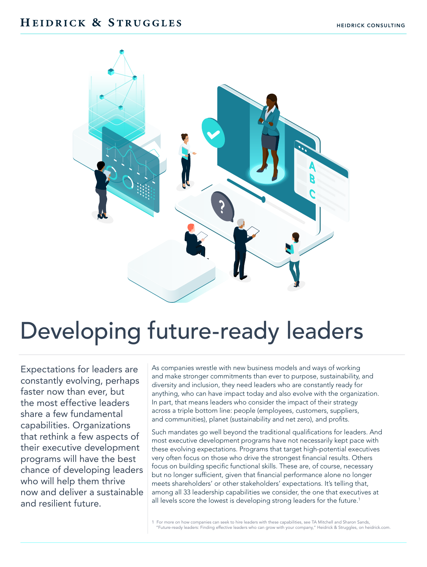## HEIDRICK & STRUGGLES



# Developing future-ready leaders

Expectations for leaders are constantly evolving, perhaps faster now than ever, but the most effective leaders share a few fundamental capabilities. Organizations that rethink a few aspects of their executive development programs will have the best chance of developing leaders who will help them thrive now and deliver a sustainable and resilient future.

As companies wrestle with new business models and ways of working and make stronger commitments than ever to purpose, sustainability, and diversity and inclusion, they need leaders who are constantly ready for anything, who can have impact today and also evolve with the organization. In part, that means leaders who consider the impact of their strategy across a triple bottom line: people (employees, customers, suppliers, and communities), planet (sustainability and net zero), and profits.

Such mandates go well beyond the traditional qualifications for leaders. And most executive development programs have not necessarily kept pace with these evolving expectations. Programs that target high-potential executives very often focus on those who drive the strongest financial results. Others focus on building specific functional skills. These are, of course, necessary but no longer sufficient, given that financial performance alone no longer meets shareholders' or other stakeholders' expectations. It's telling that, among all 33 leadership capabilities we consider, the one that executives at all levels score the lowest is developing strong leaders for the future.<sup>1</sup>

1 For more on how companies can seek to hire leaders with these capabilities, see TA Mitchell and Sharon Sands, "Future-ready leaders: Finding effective leaders who can grow with your company," Heidrick & Struggles, on heidrick.com.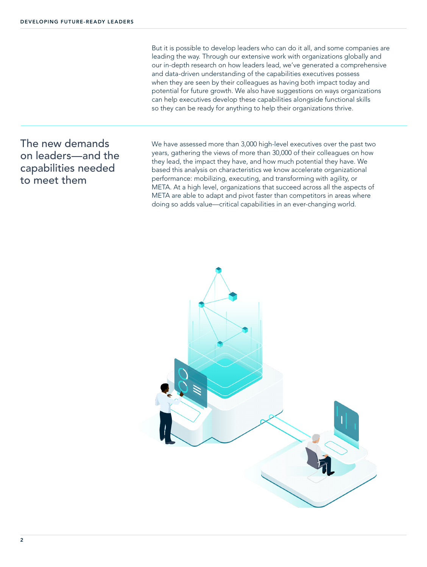But it is possible to develop leaders who can do it all, and some companies are leading the way. Through our extensive work with organizations globally and our in-depth research on how leaders lead, we've generated a comprehensive and data-driven understanding of the capabilities executives possess when they are seen by their colleagues as having both impact today and potential for future growth. We also have suggestions on ways organizations can help executives develop these capabilities alongside functional skills so they can be ready for anything to help their organizations thrive.

## The new demands on leaders—and the capabilities needed to meet them

We have assessed more than 3,000 high-level executives over the past two years, gathering the views of more than 30,000 of their colleagues on how they lead, the impact they have, and how much potential they have. We based this analysis on characteristics we know accelerate organizational performance: mobilizing, executing, and transforming with agility, or META. At a high level, organizations that succeed across all the aspects of META are able to adapt and pivot faster than competitors in areas where doing so adds value—critical capabilities in an ever-changing world.

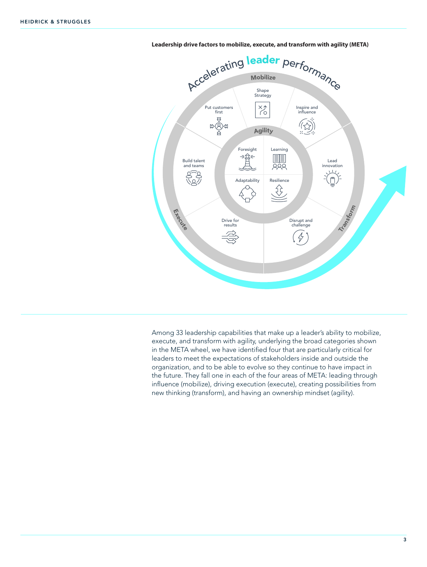



Among 33 leadership capabilities that make up a leader's ability to mobilize, execute, and transform with agility, underlying the broad categories shown in the META wheel, we have identified four that are particularly critical for leaders to meet the expectations of stakeholders inside and outside the organization, and to be able to evolve so they continue to have impact in the future. They fall one in each of the four areas of META: leading through influence (mobilize), driving execution (execute), creating possibilities from new thinking (transform), and having an ownership mindset (agility).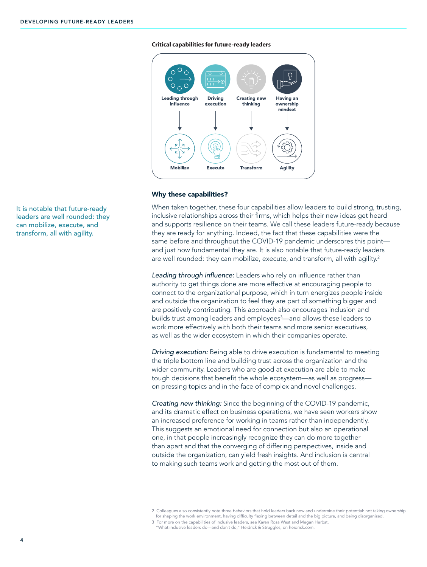#### **Critical capabilities for future-ready leaders**



#### Why these capabilities?

When taken together, these four capabilities allow leaders to build strong, trusting, inclusive relationships across their firms, which helps their new ideas get heard and supports resilience on their teams. We call these leaders future-ready because they are ready for anything. Indeed, the fact that these capabilities were the same before and throughout the COVID-19 pandemic underscores this point and just how fundamental they are. It is also notable that future-ready leaders are well rounded: they can mobilize, execute, and transform, all with agility.<sup>2</sup>

Leading through influence: Leaders who rely on influence rather than authority to get things done are more effective at encouraging people to connect to the organizational purpose, which in turn energizes people inside and outside the organization to feel they are part of something bigger and are positively contributing. This approach also encourages inclusion and builds trust among leaders and employees<sup>3</sup>—and allows these leaders to work more effectively with both their teams and more senior executives, as well as the wider ecosystem in which their companies operate.

Driving execution: Being able to drive execution is fundamental to meeting the triple bottom line and building trust across the organization and the wider community. Leaders who are good at execution are able to make tough decisions that benefit the whole ecosystem—as well as progress on pressing topics and in the face of complex and novel challenges.

Creating new thinking: Since the beginning of the COVID-19 pandemic, and its dramatic effect on business operations, we have seen workers show an increased preference for working in teams rather than independently. This suggests an emotional need for connection but also an operational one, in that people increasingly recognize they can do more together than apart and that the converging of differing perspectives, inside and outside the organization, can yield fresh insights. And inclusion is central to making such teams work and getting the most out of them.

3 For more on the capabilities of inclusive leaders, see Karen Rosa West and Megan Herbst, "What inclusive leaders do—and don't do," Heidrick & Struggles, on heidrick.com.

It is notable that future-ready leaders are well rounded: they can mobilize, execute, and transform, all with agility.

<sup>2</sup> Colleagues also consistently note three behaviors that hold leaders back now and undermine their potential: not taking ownership for shaping the work environment, having difficulty flexing between detail and the big picture, and being disorganized.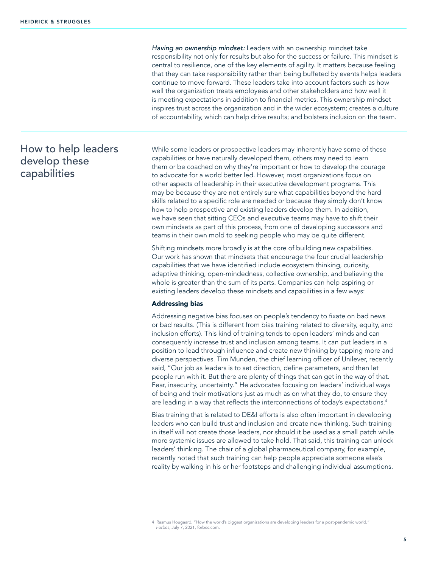Having an ownership mindset: Leaders with an ownership mindset take responsibility not only for results but also for the success or failure. This mindset is central to resilience, one of the key elements of agility. It matters because feeling that they can take responsibility rather than being buffeted by events helps leaders continue to move forward. These leaders take into account factors such as how well the organization treats employees and other stakeholders and how well it is meeting expectations in addition to financial metrics. This ownership mindset inspires trust across the organization and in the wider ecosystem; creates a culture of accountability, which can help drive results; and bolsters inclusion on the team.

## How to help leaders develop these capabilities

While some leaders or prospective leaders may inherently have some of these capabilities or have naturally developed them, others may need to learn them or be coached on why they're important or how to develop the courage to advocate for a world better led. However, most organizations focus on other aspects of leadership in their executive development programs. This may be because they are not entirely sure what capabilities beyond the hard skills related to a specific role are needed or because they simply don't know how to help prospective and existing leaders develop them. In addition, we have seen that sitting CEOs and executive teams may have to shift their own mindsets as part of this process, from one of developing successors and teams in their own mold to seeking people who may be quite different.

Shifting mindsets more broadly is at the core of building new capabilities. Our work has shown that mindsets that encourage the four crucial leadership capabilities that we have identified include ecosystem thinking, curiosity, adaptive thinking, open-mindedness, collective ownership, and believing the whole is greater than the sum of its parts. Companies can help aspiring or existing leaders develop these mindsets and capabilities in a few ways:

#### Addressing bias

Addressing negative bias focuses on people's tendency to fixate on bad news or bad results. (This is different from bias training related to diversity, equity, and inclusion efforts). This kind of training tends to open leaders' minds and can consequently increase trust and inclusion among teams. It can put leaders in a position to lead through influence and create new thinking by tapping more and diverse perspectives. Tim Munden, the chief learning officer of Unilever, recently said, "Our job as leaders is to set direction, define parameters, and then let people run with it. But there are plenty of things that can get in the way of that. Fear, insecurity, uncertainty." He advocates focusing on leaders' individual ways of being and their motivations just as much as on what they do, to ensure they are leading in a way that reflects the interconnections of today's expectations.<sup>4</sup>

Bias training that is related to DE&I efforts is also often important in developing leaders who can build trust and inclusion and create new thinking. Such training in itself will not create those leaders, nor should it be used as a small patch while more systemic issues are allowed to take hold. That said, this training can unlock leaders' thinking. The chair of a global pharmaceutical company, for example, recently noted that such training can help people appreciate someone else's reality by walking in his or her footsteps and challenging individual assumptions.

<sup>4</sup> Rasmus Hougaard, "How the world's biggest organizations are developing leaders for a post-pandemic world," *Forbes*, July 7, 2021, forbes.com.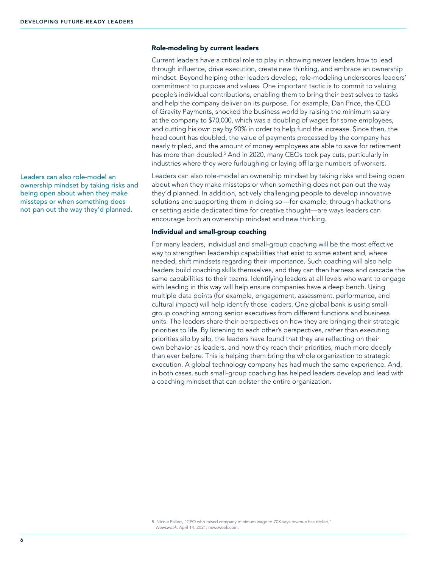## Role-modeling by current leaders

Current leaders have a critical role to play in showing newer leaders how to lead through influence, drive execution, create new thinking, and embrace an ownership mindset. Beyond helping other leaders develop, role-modeling underscores leaders' commitment to purpose and values. One important tactic is to commit to valuing people's individual contributions, enabling them to bring their best selves to tasks and help the company deliver on its purpose. For example, Dan Price, the CEO of Gravity Payments, shocked the business world by raising the minimum salary at the company to \$70,000, which was a doubling of wages for some employees, and cutting his own pay by 90% in order to help fund the increase. Since then, the head count has doubled, the value of payments processed by the company has nearly tripled, and the amount of money employees are able to save for retirement has more than doubled.<sup>5</sup> And in 2020, many CEOs took pay cuts, particularly in industries where they were furloughing or laying off large numbers of workers.

Leaders can also role-model an ownership mindset by taking risks and being open about when they make missteps or when something does not pan out the way they'd planned. In addition, actively challenging people to develop innovative solutions and supporting them in doing so—for example, through hackathons or setting aside dedicated time for creative thought—are ways leaders can encourage both an ownership mindset and new thinking.

### Individual and small-group coaching

For many leaders, individual and small-group coaching will be the most effective way to strengthen leadership capabilities that exist to some extent and, where needed, shift mindsets regarding their importance. Such coaching will also help leaders build coaching skills themselves, and they can then harness and cascade the same capabilities to their teams. Identifying leaders at all levels who want to engage with leading in this way will help ensure companies have a deep bench. Using multiple data points (for example, engagement, assessment, performance, and cultural impact) will help identify those leaders. One global bank is using smallgroup coaching among senior executives from different functions and business units. The leaders share their perspectives on how they are bringing their strategic priorities to life. By listening to each other's perspectives, rather than executing priorities silo by silo, the leaders have found that they are reflecting on their own behavior as leaders, and how they reach their priorities, much more deeply than ever before. This is helping them bring the whole organization to strategic execution. A global technology company has had much the same experience. And, in both cases, such small-group coaching has helped leaders develop and lead with a coaching mindset that can bolster the entire organization.

5 Nicole Fallert, "CEO who raised company minimum wage to 70K says revenue has tripled," *Newsweek*, April 14, 2021, newsweek.com.

Leaders can also role-model an ownership mindset by taking risks and being open about when they make missteps or when something does not pan out the way they'd planned.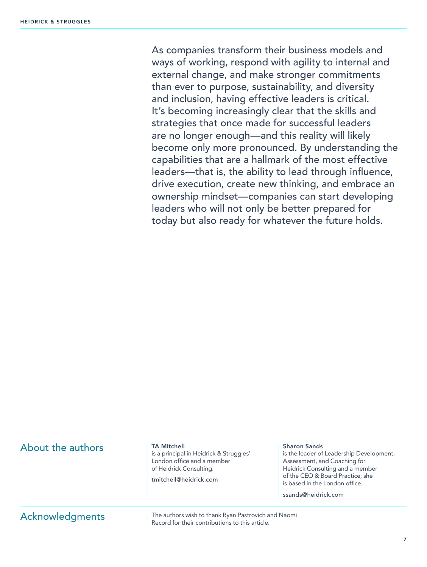As companies transform their business models and ways of working, respond with agility to internal and external change, and make stronger commitments than ever to purpose, sustainability, and diversity and inclusion, having effective leaders is critical. It's becoming increasingly clear that the skills and strategies that once made for successful leaders are no longer enough—and this reality will likely become only more pronounced. By understanding the capabilities that are a hallmark of the most effective leaders—that is, the ability to lead through influence, drive execution, create new thinking, and embrace an ownership mindset—companies can start developing leaders who will not only be better prepared for today but also ready for whatever the future holds.

| About the authors | <b>TA Mitchell</b><br>is a principal in Heidrick & Struggles'<br>London office and a member<br>of Heidrick Consulting.<br>tmitchell@heidrick.com | <b>Sharon Sands</b><br>is the leader of Leadership Development,<br>Assessment, and Coaching for<br>Heidrick Consulting and a member<br>of the CEO & Board Practice; she<br>is based in the London office.<br>ssands@heidrick.com |
|-------------------|--------------------------------------------------------------------------------------------------------------------------------------------------|----------------------------------------------------------------------------------------------------------------------------------------------------------------------------------------------------------------------------------|
| Acknowledgments   | The authors wish to thank Ryan Pastrovich and Naomi<br>Record for their contributions to this article.                                           |                                                                                                                                                                                                                                  |